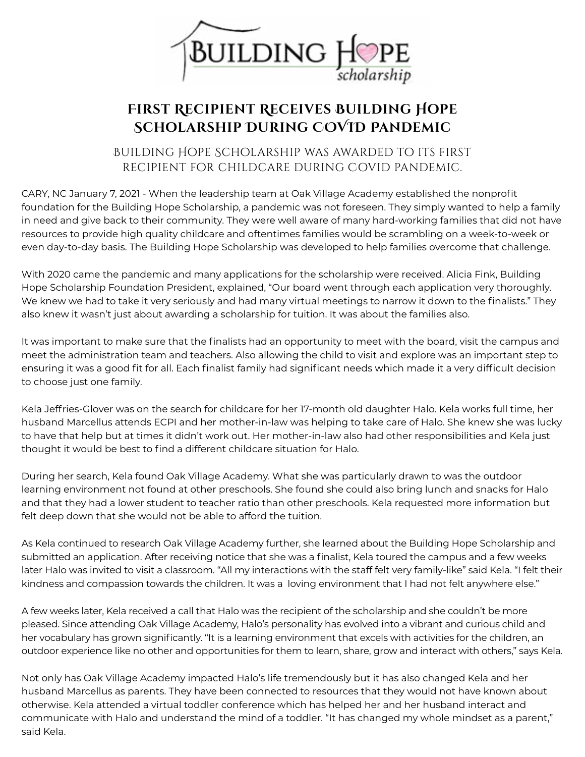

## **First Recipient Receives Building Hope Scholarship During COVID Pandemic**

## Building Hope Scholarship was awarded to its first recipient for childcare during Covid pandemic.

CARY, NC January 7, 2021 - When the leadership team at Oak Village Academy established the nonprofit foundation for the Building Hope Scholarship, a pandemic was not foreseen. They simply wanted to help a family in need and give back to their community. They were well aware of many hard-working families that did not have resources to provide high quality childcare and oftentimes families would be scrambling on a week-to-week or even day-to-day basis. The Building Hope Scholarship was developed to help families overcome that challenge.

With 2020 came the pandemic and many applications for the scholarship were received. Alicia Fink, Building Hope Scholarship Foundation President, explained, "Our board went through each application very thoroughly. We knew we had to take it very seriously and had many virtual meetings to narrow it down to the finalists." They also knew it wasn't just about awarding a scholarship for tuition. It was about the families also.

It was important to make sure that the finalists had an opportunity to meet with the board, visit the campus and meet the administration team and teachers. Also allowing the child to visit and explore was an important step to ensuring it was a good fit for all. Each finalist family had significant needs which made it a very difficult decision to choose just one family.

Kela Jeffries-Glover was on the search for childcare for her 17-month old daughter Halo. Kela works full time, her husband Marcellus attends ECPI and her mother-in-law was helping to take care of Halo. She knew she was lucky to have that help but at times it didn't work out. Her mother-in-law also had other responsibilities and Kela just thought it would be best to find a different childcare situation for Halo.

During her search, Kela found Oak Village Academy. What she was particularly drawn to was the outdoor learning environment not found at other preschools. She found she could also bring lunch and snacks for Halo and that they had a lower student to teacher ratio than other preschools. Kela requested more information but felt deep down that she would not be able to afford the tuition.

As Kela continued to research Oak Village Academy further, she learned about the Building Hope Scholarship and submitted an application. After receiving notice that she was a finalist, Kela toured the campus and a few weeks later Halo was invited to visit a classroom. "All my interactions with the staff felt very family-like" said Kela. "I felt their kindness and compassion towards the children. It was a loving environment that I had not felt anywhere else."

A few weeks later, Kela received a call that Halo was the recipient of the scholarship and she couldn't be more pleased. Since attending Oak Village Academy, Halo's personality has evolved into a vibrant and curious child and her vocabulary has grown significantly. "It is a learning environment that excels with activities for the children, an outdoor experience like no other and opportunities for them to learn, share, grow and interact with others," says Kela.

Not only has Oak Village Academy impacted Halo's life tremendously but it has also changed Kela and her husband Marcellus as parents. They have been connected to resources that they would not have known about otherwise. Kela attended a virtual toddler conference which has helped her and her husband interact and communicate with Halo and understand the mind of a toddler. "It has changed my whole mindset as a parent," said Kela.